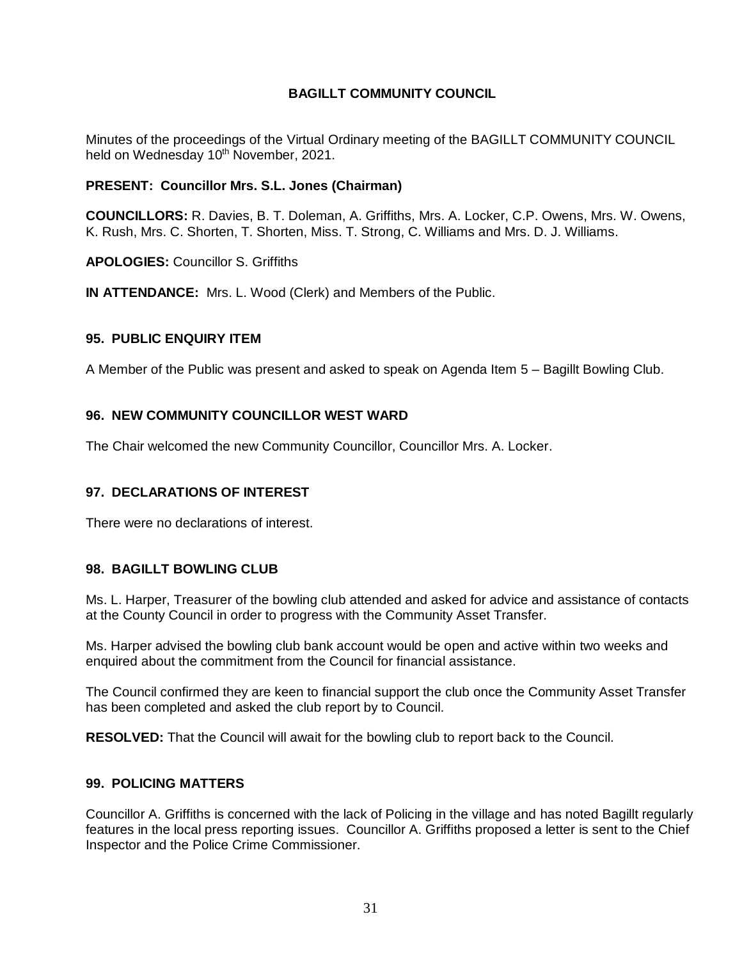# **BAGILLT COMMUNITY COUNCIL**

Minutes of the proceedings of the Virtual Ordinary meeting of the BAGILLT COMMUNITY COUNCIL held on Wednesday 10<sup>th</sup> November, 2021.

## **PRESENT: Councillor Mrs. S.L. Jones (Chairman)**

**COUNCILLORS:** R. Davies, B. T. Doleman, A. Griffiths, Mrs. A. Locker, C.P. Owens, Mrs. W. Owens, K. Rush, Mrs. C. Shorten, T. Shorten, Miss. T. Strong, C. Williams and Mrs. D. J. Williams.

**APOLOGIES:** Councillor S. Griffiths

**IN ATTENDANCE:** Mrs. L. Wood (Clerk) and Members of the Public.

## **95. PUBLIC ENQUIRY ITEM**

A Member of the Public was present and asked to speak on Agenda Item 5 – Bagillt Bowling Club.

## **96. NEW COMMUNITY COUNCILLOR WEST WARD**

The Chair welcomed the new Community Councillor, Councillor Mrs. A. Locker.

# **97. DECLARATIONS OF INTEREST**

There were no declarations of interest.

## **98. BAGILLT BOWLING CLUB**

Ms. L. Harper, Treasurer of the bowling club attended and asked for advice and assistance of contacts at the County Council in order to progress with the Community Asset Transfer.

Ms. Harper advised the bowling club bank account would be open and active within two weeks and enquired about the commitment from the Council for financial assistance.

The Council confirmed they are keen to financial support the club once the Community Asset Transfer has been completed and asked the club report by to Council.

**RESOLVED:** That the Council will await for the bowling club to report back to the Council.

# **99. POLICING MATTERS**

Councillor A. Griffiths is concerned with the lack of Policing in the village and has noted Bagillt regularly features in the local press reporting issues. Councillor A. Griffiths proposed a letter is sent to the Chief Inspector and the Police Crime Commissioner.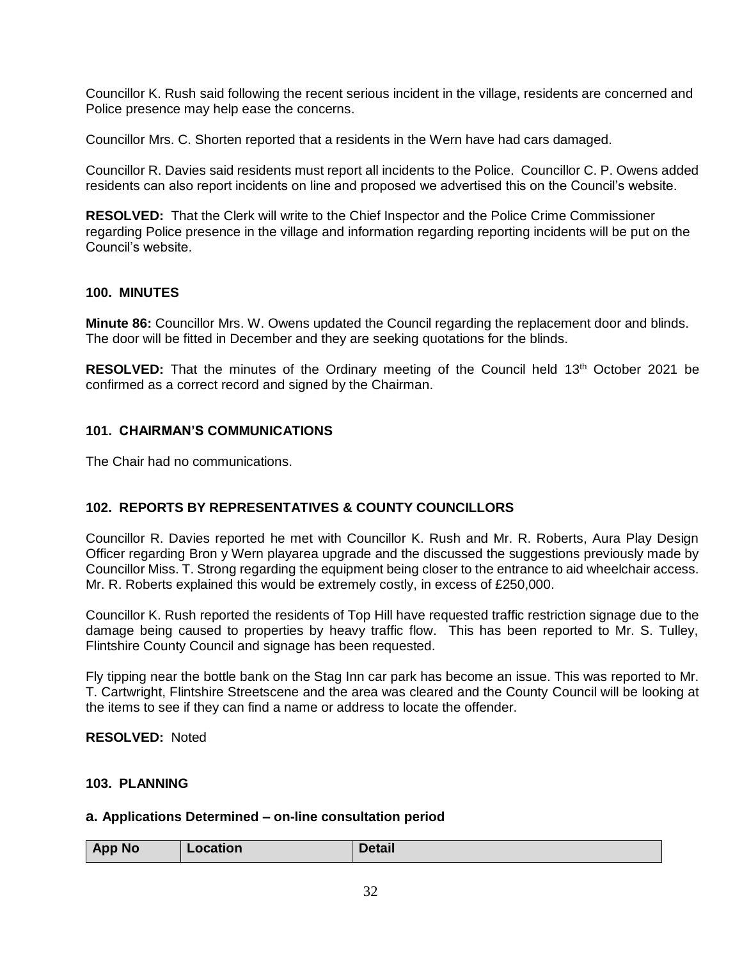Councillor K. Rush said following the recent serious incident in the village, residents are concerned and Police presence may help ease the concerns.

Councillor Mrs. C. Shorten reported that a residents in the Wern have had cars damaged.

Councillor R. Davies said residents must report all incidents to the Police. Councillor C. P. Owens added residents can also report incidents on line and proposed we advertised this on the Council's website.

**RESOLVED:** That the Clerk will write to the Chief Inspector and the Police Crime Commissioner regarding Police presence in the village and information regarding reporting incidents will be put on the Council's website.

## **100. MINUTES**

**Minute 86:** Councillor Mrs. W. Owens updated the Council regarding the replacement door and blinds. The door will be fitted in December and they are seeking quotations for the blinds.

**RESOLVED:** That the minutes of the Ordinary meeting of the Council held 13<sup>th</sup> October 2021 be confirmed as a correct record and signed by the Chairman.

# **101. CHAIRMAN'S COMMUNICATIONS**

The Chair had no communications.

# **102. REPORTS BY REPRESENTATIVES & COUNTY COUNCILLORS**

Councillor R. Davies reported he met with Councillor K. Rush and Mr. R. Roberts, Aura Play Design Officer regarding Bron y Wern playarea upgrade and the discussed the suggestions previously made by Councillor Miss. T. Strong regarding the equipment being closer to the entrance to aid wheelchair access. Mr. R. Roberts explained this would be extremely costly, in excess of £250,000.

Councillor K. Rush reported the residents of Top Hill have requested traffic restriction signage due to the damage being caused to properties by heavy traffic flow. This has been reported to Mr. S. Tulley, Flintshire County Council and signage has been requested.

Fly tipping near the bottle bank on the Stag Inn car park has become an issue. This was reported to Mr. T. Cartwright, Flintshire Streetscene and the area was cleared and the County Council will be looking at the items to see if they can find a name or address to locate the offender.

#### **RESOLVED:** Noted

#### **103. PLANNING**

#### **a. Applications Determined – on-line consultation period**

| <b>App No</b> | .      |
|---------------|--------|
| .ocation      | Detail |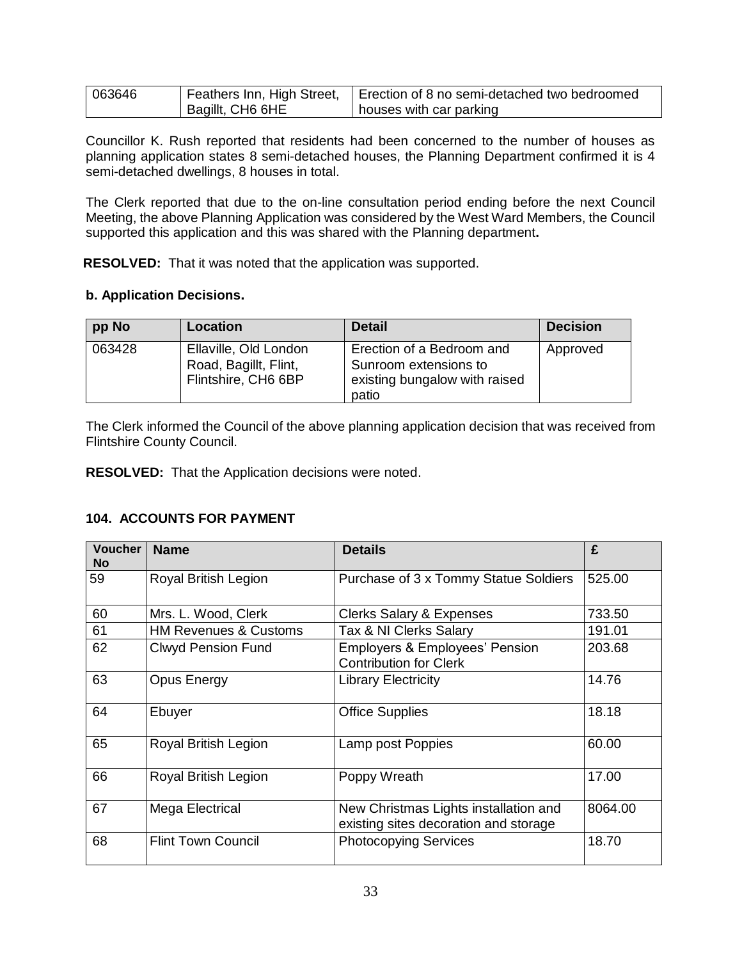| 063646 |                  | Feathers Inn, High Street,   Erection of 8 no semi-detached two bedroomed |
|--------|------------------|---------------------------------------------------------------------------|
|        | Bagillt, CH6 6HE | houses with car parking                                                   |

Councillor K. Rush reported that residents had been concerned to the number of houses as planning application states 8 semi-detached houses, the Planning Department confirmed it is 4 semi-detached dwellings, 8 houses in total.

The Clerk reported that due to the on-line consultation period ending before the next Council Meeting, the above Planning Application was considered by the West Ward Members, the Council supported this application and this was shared with the Planning department**.** 

**RESOLVED:** That it was noted that the application was supported.

## **b. Application Decisions.**

| pp No  | Location                                                              | <b>Detail</b>                                                                                | <b>Decision</b> |
|--------|-----------------------------------------------------------------------|----------------------------------------------------------------------------------------------|-----------------|
| 063428 | Ellaville, Old London<br>Road, Bagillt, Flint,<br>Flintshire, CH6 6BP | Erection of a Bedroom and<br>Sunroom extensions to<br>existing bungalow with raised<br>patio | Approved        |

The Clerk informed the Council of the above planning application decision that was received from Flintshire County Council.

**RESOLVED:** That the Application decisions were noted.

# **104. ACCOUNTS FOR PAYMENT**

| <b>Voucher</b><br><b>No</b> | <b>Name</b>                      | <b>Details</b>                                                                 | £       |
|-----------------------------|----------------------------------|--------------------------------------------------------------------------------|---------|
| 59                          | Royal British Legion             | Purchase of 3 x Tommy Statue Soldiers                                          | 525.00  |
| 60                          | Mrs. L. Wood, Clerk              | <b>Clerks Salary &amp; Expenses</b>                                            | 733.50  |
| 61                          | <b>HM Revenues &amp; Customs</b> | Tax & NI Clerks Salary                                                         | 191.01  |
| 62                          | <b>Clwyd Pension Fund</b>        | <b>Employers &amp; Employees' Pension</b><br><b>Contribution for Clerk</b>     | 203.68  |
| 63                          | Opus Energy                      | <b>Library Electricity</b>                                                     | 14.76   |
| 64                          | Ebuyer                           | <b>Office Supplies</b>                                                         | 18.18   |
| 65                          | Royal British Legion             | Lamp post Poppies                                                              | 60.00   |
| 66                          | <b>Royal British Legion</b>      | Poppy Wreath                                                                   | 17.00   |
| 67                          | Mega Electrical                  | New Christmas Lights installation and<br>existing sites decoration and storage | 8064.00 |
| 68                          | <b>Flint Town Council</b>        | <b>Photocopying Services</b>                                                   | 18.70   |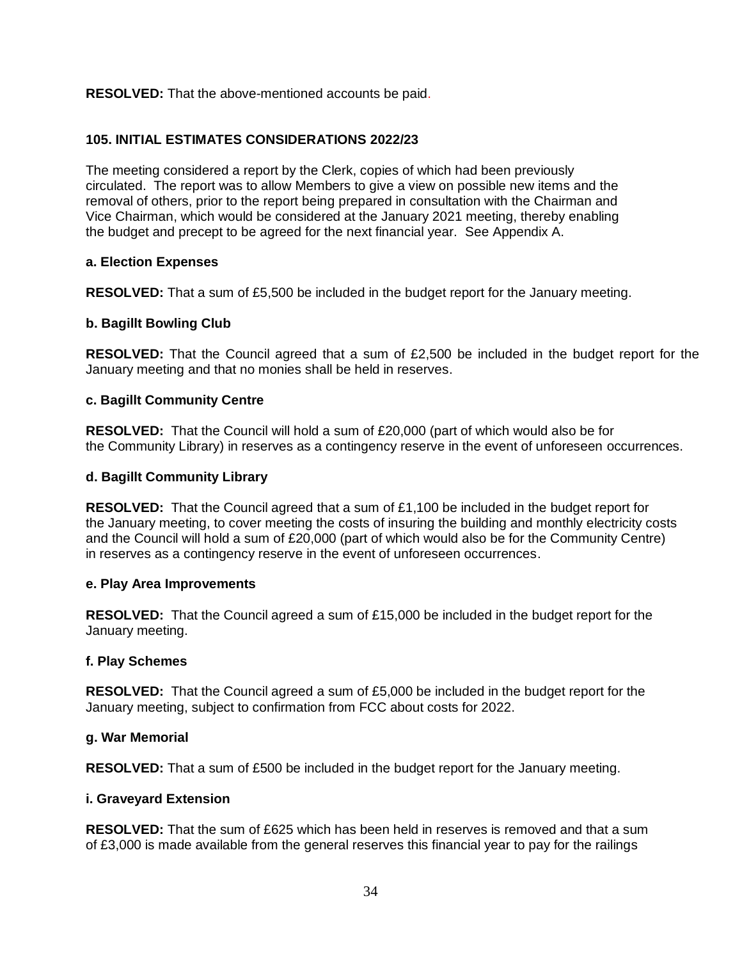# **RESOLVED:** That the above-mentioned accounts be paid.

# **105. INITIAL ESTIMATES CONSIDERATIONS 2022/23**

The meeting considered a report by the Clerk, copies of which had been previously circulated. The report was to allow Members to give a view on possible new items and the removal of others, prior to the report being prepared in consultation with the Chairman and Vice Chairman, which would be considered at the January 2021 meeting, thereby enabling the budget and precept to be agreed for the next financial year. See Appendix A.

## **a. Election Expenses**

**RESOLVED:** That a sum of £5,500 be included in the budget report for the January meeting.

## **b. Bagillt Bowling Club**

**RESOLVED:** That the Council agreed that a sum of £2,500 be included in the budget report for the January meeting and that no monies shall be held in reserves.

## **c. Bagillt Community Centre**

**RESOLVED:** That the Council will hold a sum of £20,000 (part of which would also be for the Community Library) in reserves as a contingency reserve in the event of unforeseen occurrences.

#### **d. Bagillt Community Library**

**RESOLVED:** That the Council agreed that a sum of £1,100 be included in the budget report for the January meeting, to cover meeting the costs of insuring the building and monthly electricity costs and the Council will hold a sum of £20,000 (part of which would also be for the Community Centre) in reserves as a contingency reserve in the event of unforeseen occurrences.

#### **e. Play Area Improvements**

**RESOLVED:** That the Council agreed a sum of £15,000 be included in the budget report for the January meeting.

#### **f. Play Schemes**

**RESOLVED:** That the Council agreed a sum of £5,000 be included in the budget report for the January meeting, subject to confirmation from FCC about costs for 2022.

#### **g. War Memorial**

**RESOLVED:** That a sum of £500 be included in the budget report for the January meeting.

#### **i. Graveyard Extension**

**RESOLVED:** That the sum of £625 which has been held in reserves is removed and that a sum of £3,000 is made available from the general reserves this financial year to pay for the railings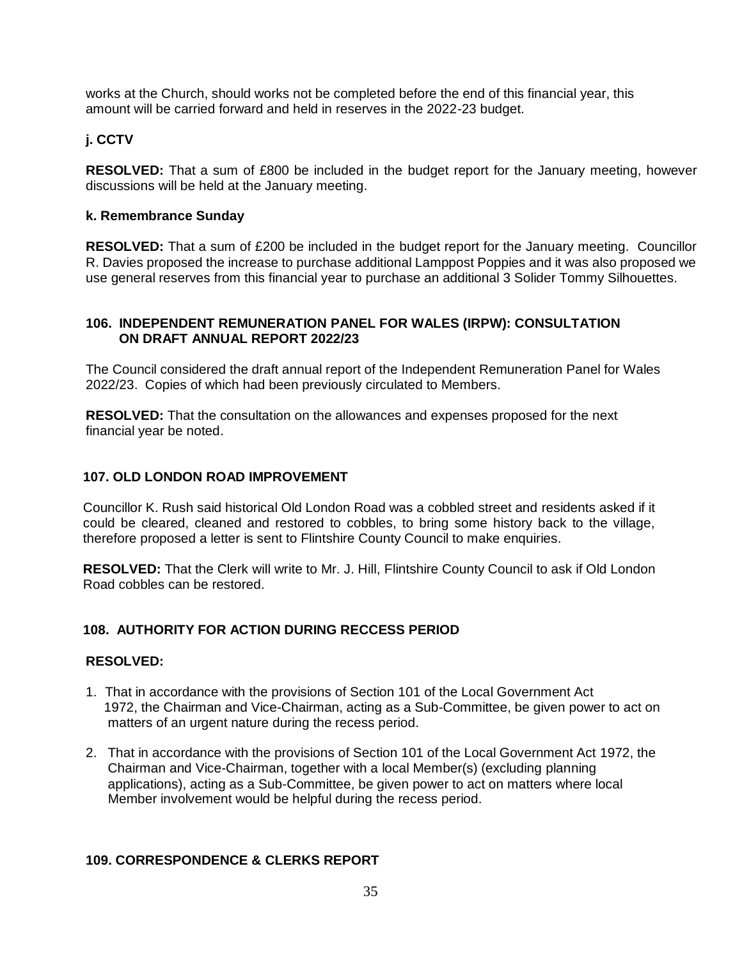works at the Church, should works not be completed before the end of this financial year, this amount will be carried forward and held in reserves in the 2022-23 budget.

# **j. CCTV**

**RESOLVED:** That a sum of £800 be included in the budget report for the January meeting, however discussions will be held at the January meeting.

## **k. Remembrance Sunday**

**RESOLVED:** That a sum of £200 be included in the budget report for the January meeting. Councillor R. Davies proposed the increase to purchase additional Lamppost Poppies and it was also proposed we use general reserves from this financial year to purchase an additional 3 Solider Tommy Silhouettes.

# **106. INDEPENDENT REMUNERATION PANEL FOR WALES (IRPW): CONSULTATION ON DRAFT ANNUAL REPORT 2022/23**

The Council considered the draft annual report of the Independent Remuneration Panel for Wales 2022/23. Copies of which had been previously circulated to Members.

**RESOLVED:** That the consultation on the allowances and expenses proposed for the next financial year be noted.

# **107. OLD LONDON ROAD IMPROVEMENT**

Councillor K. Rush said historical Old London Road was a cobbled street and residents asked if it could be cleared, cleaned and restored to cobbles, to bring some history back to the village, therefore proposed a letter is sent to Flintshire County Council to make enquiries.

**RESOLVED:** That the Clerk will write to Mr. J. Hill, Flintshire County Council to ask if Old London Road cobbles can be restored.

# **108. AUTHORITY FOR ACTION DURING RECCESS PERIOD**

#### **RESOLVED:**

- 1. That in accordance with the provisions of Section 101 of the Local Government Act 1972, the Chairman and Vice-Chairman, acting as a Sub-Committee, be given power to act on matters of an urgent nature during the recess period.
- 2. That in accordance with the provisions of Section 101 of the Local Government Act 1972, the Chairman and Vice-Chairman, together with a local Member(s) (excluding planning applications), acting as a Sub-Committee, be given power to act on matters where local Member involvement would be helpful during the recess period.

# **109. CORRESPONDENCE & CLERKS REPORT**